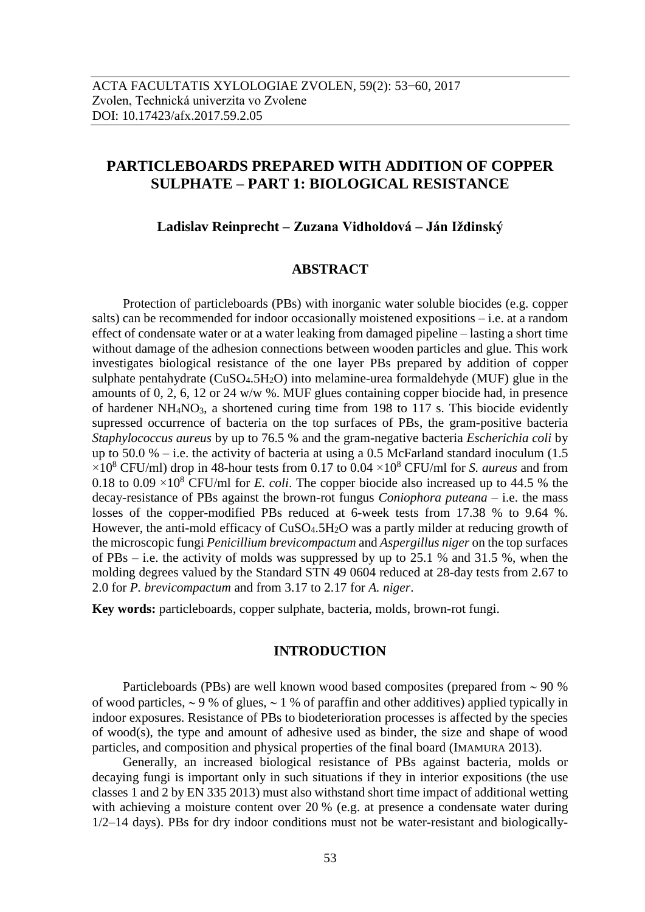# **PARTICLEBOARDS PREPARED WITH ADDITION OF COPPER SULPHATE – PART 1: BIOLOGICAL RESISTANCE**

**Ladislav Reinprecht – Zuzana Vidholdová – Ján Iždinský**

## **ABSTRACT**

Protection of particleboards (PBs) with inorganic water soluble biocides (e.g. copper salts) can be recommended for indoor occasionally moistened expositions – i.e. at a random effect of condensate water or at a water leaking from damaged pipeline – lasting a short time without damage of the adhesion connections between wooden particles and glue. This work investigates biological resistance of the one layer PBs prepared by addition of copper sulphate pentahydrate  $(CuSO<sub>4</sub>.5H<sub>2</sub>O)$  into melamine-urea formaldehyde (MUF) glue in the amounts of 0, 2, 6, 12 or 24 w/w %. MUF glues containing copper biocide had, in presence of hardener NH4NO3, a shortened curing time from 198 to 117 s. This biocide evidently supressed occurrence of bacteria on the top surfaces of PBs, the gram-positive bacteria *Staphylococcus aureus* by up to 76.5 % and the gram-negative bacteria *Escherichia coli* by up to 50.0 % – i.e. the activity of bacteria at using a 0.5 McFarland standard inoculum  $(1.5)$  $\times10^8$  CFU/ml) drop in 48-hour tests from 0.17 to 0.04  $\times10^8$  CFU/ml for *S. aureus* and from 0.18 to 0.09  $\times$ 10<sup>8</sup> CFU/ml for *E. coli*. The copper biocide also increased up to 44.5 % the decay-resistance of PBs against the brown-rot fungus *Coniophora puteana* – i.e. the mass losses of the copper-modified PBs reduced at 6-week tests from 17.38 % to 9.64 %. However, the anti-mold efficacy of CuSO<sub>4</sub>.5H<sub>2</sub>O was a partly milder at reducing growth of the microscopic fungi *Penicillium brevicompactum* and *Aspergillus niger* on the top surfaces of PBs – i.e. the activity of molds was suppressed by up to 25.1 % and 31.5 %, when the molding degrees valued by the Standard STN 49 0604 reduced at 28-day tests from 2.67 to 2.0 for *P. brevicompactum* and from 3.17 to 2.17 for *A. niger*.

**Key words:** particleboards, copper sulphate, bacteria, molds, brown-rot fungi.

## **INTRODUCTION**

Particleboards (PBs) are well known wood based composites (prepared from  $\sim$  90 % of wood particles,  $\sim$  9 % of glues,  $\sim$  1 % of paraffin and other additives) applied typically in indoor exposures. Resistance of PBs to biodeterioration processes is affected by the species of wood(s), the type and amount of adhesive used as binder, the size and shape of wood particles, and composition and physical properties of the final board (IMAMURA 2013).

Generally, an increased biological resistance of PBs against bacteria, molds or decaying fungi is important only in such situations if they in interior expositions (the use classes 1 and 2 by EN 335 2013) must also withstand short time impact of additional wetting with achieving a moisture content over 20 % (e.g. at presence a condensate water during 1/2–14 days). PBs for dry indoor conditions must not be water-resistant and biologically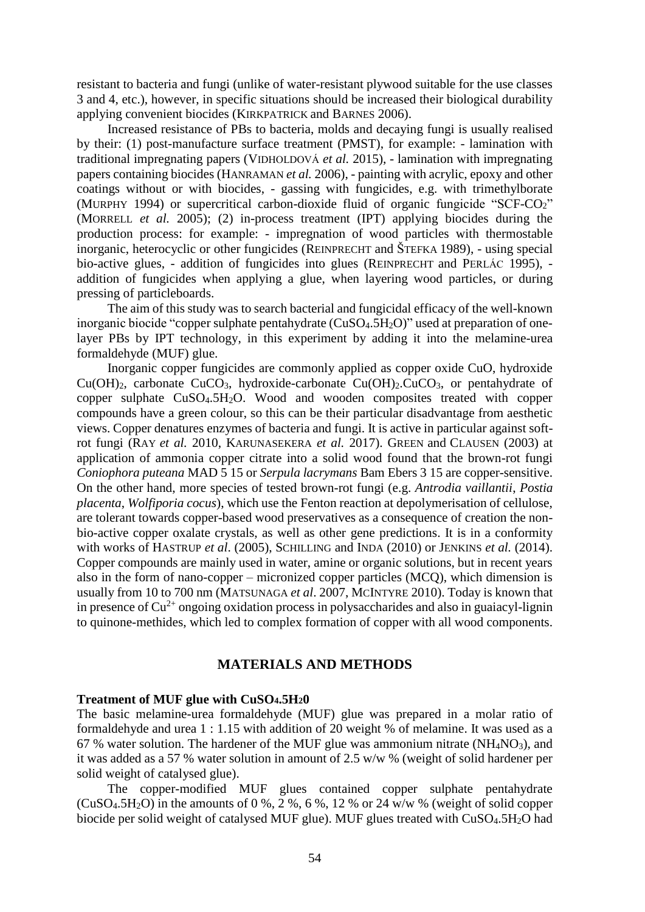resistant to bacteria and fungi (unlike of water-resistant plywood suitable for the use classes 3 and 4, etc.), however, in specific situations should be increased their biological durability applying convenient biocides (KIRKPATRICK and BARNES 2006).

Increased resistance of PBs to bacteria, molds and decaying fungi is usually realised by their: (1) post-manufacture surface treatment (PMST), for example: - lamination with traditional impregnating papers (VIDHOLDOVÁ *et al.* 2015), - lamination with impregnating papers containing biocides (HANRAMAN *et al.* 2006), - painting with acrylic, epoxy and other coatings without or with biocides, - gassing with fungicides, e.g. with trimethylborate (MURPHY 1994) or supercritical carbon-dioxide fluid of organic fungicide "SCF-CO2" (MORRELL *et al.* 2005); (2) in-process treatment (IPT) applying biocides during the production process: for example: - impregnation of wood particles with thermostable inorganic, heterocyclic or other fungicides (REINPRECHT and ŠTEFKA 1989), - using special bio-active glues, - addition of fungicides into glues (REINPRECHT and PERLÁC 1995), addition of fungicides when applying a glue, when layering wood particles, or during pressing of particleboards.

The aim of this study was to search bacterial and fungicidal efficacy of the well-known inorganic biocide "copper sulphate pentahydrate (CuSO<sub>4</sub>.5H<sub>2</sub>O)" used at preparation of onelayer PBs by IPT technology, in this experiment by adding it into the melamine-urea formaldehyde (MUF) glue.

Inorganic copper fungicides are commonly applied as copper oxide CuO, hydroxide  $Cu(OH)_2$ , carbonate  $CuCO_3$ , hydroxide-carbonate  $Cu(OH)_2$ .  $CuCO_3$ , or pentahydrate of copper sulphate CuSO4.5H2O. Wood and wooden composites treated with copper compounds have a green colour, so this can be their particular disadvantage from aesthetic views. Copper denatures enzymes of bacteria and fungi. It is active in particular against softrot fungi (RAY *et al.* 2010, KARUNASEKERA *et al.* 2017). GREEN and CLAUSEN (2003) at application of ammonia copper citrate into a solid wood found that the brown-rot fungi *Coniophora puteana* MAD 5 15 or *Serpula lacrymans* Bam Ebers 3 15 are copper-sensitive. On the other hand, more species of tested brown-rot fungi (e.g. *Antrodia vaillantii*, *Postia placenta*, *Wolfiporia cocus*), which use the Fenton reaction at depolymerisation of cellulose, are tolerant towards copper-based wood preservatives as a consequence of creation the nonbio-active copper oxalate crystals, as well as other gene predictions. It is in a conformity with works of HASTRUP *et al*. (2005), SCHILLING and INDA (2010) or JENKINS *et al.* (2014). Copper compounds are mainly used in water, amine or organic solutions, but in recent years also in the form of nano-copper – micronized copper particles (MCQ), which dimension is usually from 10 to 700 nm (MATSUNAGA *et al*. 2007, MCINTYRE 2010). Today is known that in presence of  $Cu^{2+}$  ongoing oxidation process in polysaccharides and also in guaiacyl-lignin to quinone-methides, which led to complex formation of copper with all wood components.

## **MATERIALS AND METHODS**

#### **Treatment of MUF glue with CuSO4.5H20**

The basic melamine-urea formaldehyde (MUF) glue was prepared in a molar ratio of formaldehyde and urea 1 : 1.15 with addition of 20 weight % of melamine. It was used as a 67 % water solution. The hardener of the MUF glue was ammonium nitrate ( $NH<sub>4</sub>NO<sub>3</sub>$ ), and it was added as a 57 % water solution in amount of 2.5 w/w % (weight of solid hardener per solid weight of catalysed glue).

The copper-modified MUF glues contained copper sulphate pentahydrate (CuSO<sub>4</sub>.5H<sub>2</sub>O) in the amounts of 0 %, 2 %, 6 %, 12 % or 24 w/w % (weight of solid copper biocide per solid weight of catalysed MUF glue). MUF glues treated with CuSO<sub>4</sub>.5H<sub>2</sub>O had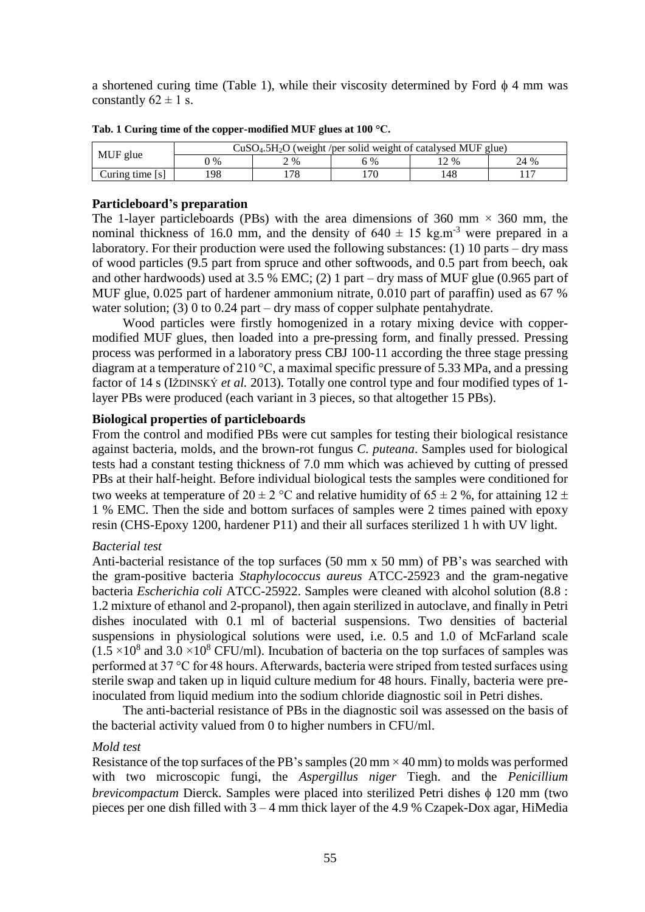a shortened curing time (Table 1), while their viscosity determined by Ford  $\phi$  4 mm was constantly  $62 \pm 1$  s.

| MUF glue        | $CuSO4.5H2O$ (weight /per solid weight of catalysed MUF glue) |       |       |      |      |  |  |  |  |
|-----------------|---------------------------------------------------------------|-------|-------|------|------|--|--|--|--|
|                 | $\%$                                                          | 2, 96 | $5\%$ | 2 %  | 24 % |  |  |  |  |
| Curing time [s] | 98                                                            | 78    | .70   | l 48 |      |  |  |  |  |

**Tab. 1 Curing time of the copper-modified MUF glues at 100 °C.**

## **Particleboard's preparation**

The 1-layer particleboards (PBs) with the area dimensions of 360 mm  $\times$  360 mm, the nominal thickness of 16.0 mm, and the density of  $640 \pm 15$  kg.m<sup>-3</sup> were prepared in a laboratory. For their production were used the following substances: (1) 10 parts – dry mass of wood particles (9.5 part from spruce and other softwoods, and 0.5 part from beech, oak and other hardwoods) used at 3.5 % EMC; (2) 1 part – dry mass of MUF glue (0.965 part of MUF glue, 0.025 part of hardener ammonium nitrate, 0.010 part of paraffin) used as 67 % water solution; (3) 0 to 0.24 part – dry mass of copper sulphate pentahydrate.

Wood particles were firstly homogenized in a rotary mixing device with coppermodified MUF glues, then loaded into a pre-pressing form, and finally pressed. Pressing process was performed in a laboratory press CBJ 100-11 according the three stage pressing diagram at a temperature of 210 °C, a maximal specific pressure of 5.33 MPa, and a pressing factor of 14 s (IŽDINSKÝ *et al.* 2013). Totally one control type and four modified types of 1 layer PBs were produced (each variant in 3 pieces, so that altogether 15 PBs).

## **Biological properties of particleboards**

From the control and modified PBs were cut samples for testing their biological resistance against bacteria, molds, and the brown-rot fungus *C. puteana*. Samples used for biological tests had a constant testing thickness of 7.0 mm which was achieved by cutting of pressed PBs at their half-height. Before individual biological tests the samples were conditioned for two weeks at temperature of  $20 \pm 2$  °C and relative humidity of  $65 \pm 2$  %, for attaining  $12 \pm$ 1 % EMC. Then the side and bottom surfaces of samples were 2 times pained with epoxy resin (CHS-Epoxy 1200, hardener P11) and their all surfaces sterilized 1 h with UV light.

## *Bacterial test*

Anti-bacterial resistance of the top surfaces (50 mm x 50 mm) of PB's was searched with the gram-positive bacteria *Staphylococcus aureus* ATCC-25923 and the gram-negative bacteria *Escherichia coli* ATCC-25922. Samples were cleaned with alcohol solution (8.8 : 1.2 mixture of ethanol and 2-propanol), then again sterilized in autoclave, and finally in Petri dishes inoculated with 0.1 ml of bacterial suspensions. Two densities of bacterial suspensions in physiological solutions were used, i.e. 0.5 and 1.0 of McFarland scale  $(1.5 \times 10^8 \text{ and } 3.0 \times 10^8 \text{ CFU/ml})$ . Incubation of bacteria on the top surfaces of samples was performed at 37 °C for 48 hours. Afterwards, bacteria were striped from tested surfaces using sterile swap and taken up in liquid culture medium for 48 hours. Finally, bacteria were preinoculated from liquid medium into the sodium chloride diagnostic soil in Petri dishes.

The anti-bacterial resistance of PBs in the diagnostic soil was assessed on the basis of the bacterial activity valued from 0 to higher numbers in CFU/ml.

## *Mold test*

Resistance of the top surfaces of the PB's samples  $(20 \text{ mm} \times 40 \text{ mm})$  to molds was performed with two microscopic fungi, the *Aspergillus niger* Tiegh. and the *Penicillium brevicompactum* Dierck. Samples were placed into sterilized Petri dishes  $\phi$  120 mm (two pieces per one dish filled with 3 – 4 mm thick layer of the 4.9 % Czapek-Dox agar, HiMedia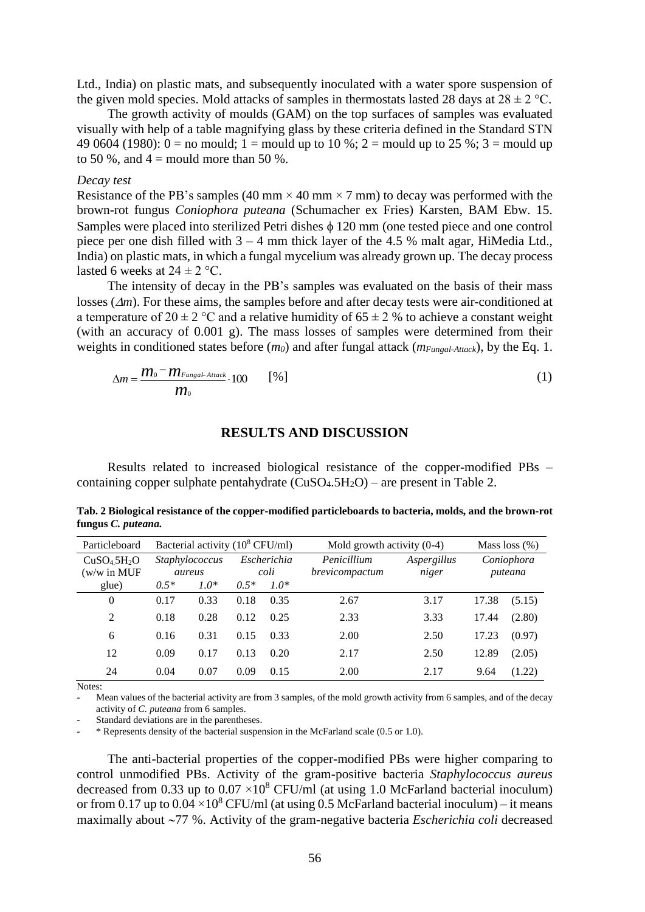Ltd., India) on plastic mats, and subsequently inoculated with a water spore suspension of the given mold species. Mold attacks of samples in thermostats lasted 28 days at  $28 \pm 2$  °C.

The growth activity of moulds (GAM) on the top surfaces of samples was evaluated visually with help of a table magnifying glass by these criteria defined in the Standard STN 49 0604 (1980):  $0 =$  no mould; 1 = mould up to 10 %; 2 = mould up to 25 %; 3 = mould up to 50 %, and  $4 =$  mould more than 50 %.

#### *Decay test*

Resistance of the PB's samples (40 mm  $\times$  40 mm  $\times$  7 mm) to decay was performed with the brown-rot fungus *Coniophora puteana* (Schumacher ex Fries) Karsten, BAM Ebw. 15. Samples were placed into sterilized Petri dishes  $\phi$  120 mm (one tested piece and one control piece per one dish filled with 3 – 4 mm thick layer of the 4.5 % malt agar, HiMedia Ltd., India) on plastic mats, in which a fungal mycelium was already grown up. The decay process lasted 6 weeks at  $24 \pm 2$  °C.

The intensity of decay in the PB's samples was evaluated on the basis of their mass losses ( $\Delta m$ ). For these aims, the samples before and after decay tests were air-conditioned at a temperature of  $20 \pm 2$  °C and a relative humidity of 65  $\pm$  2 % to achieve a constant weight (with an accuracy of 0.001 g). The mass losses of samples were determined from their weights in conditioned states before (*m0*) and after fungal attack (*mFungal-Attack*), by the Eq. 1.

$$
\Delta m = \frac{m_0 - m_{Fungal-Attack}}{m_0} \cdot 100 \qquad [\%]
$$
 (1)

## **RESULTS AND DISCUSSION**

Results related to increased biological resistance of the copper-modified PBs – containing copper sulphate pentahydrate  $(CuSO<sub>4</sub>.5H<sub>2</sub>O)$  – are present in Table 2.

| rangus et partama                                              |                                            |        |                     |        |                               |                      |                       |        |  |  |  |  |  |
|----------------------------------------------------------------|--------------------------------------------|--------|---------------------|--------|-------------------------------|----------------------|-----------------------|--------|--|--|--|--|--|
| Particleboard                                                  | Bacterial activity $(10^8 \text{ CFU/ml})$ |        |                     |        | Mold growth activity $(0-4)$  | Mass loss $(\%)$     |                       |        |  |  |  |  |  |
| CuSO <sub>4</sub> .5H <sub>2</sub> O<br>$(w/w \text{ in MUF})$ | Staphylococcus<br>aureus                   |        | Escherichia<br>coli |        | Penicillium<br>brevicompactum | Aspergillus<br>niger | Coniophora<br>puteana |        |  |  |  |  |  |
| glue)                                                          | $0.5*$                                     | $1.0*$ | $0.5*$              | $1.0*$ |                               |                      |                       |        |  |  |  |  |  |
| $\Omega$                                                       | 0.17                                       | 0.33   | 0.18                | 0.35   | 2.67                          | 3.17                 | 17.38                 | (5.15) |  |  |  |  |  |
| 2                                                              | 0.18                                       | 0.28   | 0.12                | 0.25   | 2.33                          | 3.33                 | 17.44                 | (2.80) |  |  |  |  |  |
| 6                                                              | 0.16                                       | 0.31   | 0.15                | 0.33   | 2.00                          | 2.50                 | 17.23                 | (0.97) |  |  |  |  |  |
| 12                                                             | 0.09                                       | 0.17   | 0.13                | 0.20   | 2.17                          | 2.50                 | 12.89                 | (2.05) |  |  |  |  |  |
| 24                                                             | 0.04                                       | 0.07   | 0.09                | 0.15   | 2.00                          | 2.17                 | 9.64                  | (1.22) |  |  |  |  |  |

**Tab. 2 Biological resistance of the copper-modified particleboards to bacteria, molds, and the brown-rot fungus** *C. puteana.*

Notes:

Mean values of the bacterial activity are from 3 samples, of the mold growth activity from 6 samples, and of the decay activity of *C. puteana* from 6 samples.

Standard deviations are in the parentheses.

\* Represents density of the bacterial suspension in the McFarland scale (0.5 or 1.0).

The anti-bacterial properties of the copper-modified PBs were higher comparing to control unmodified PBs. Activity of the gram-positive bacteria *Staphylococcus aureus*  decreased from 0.33 up to  $0.07 \times 10^8$  CFU/ml (at using 1.0 McFarland bacterial inoculum) or from 0.17 up to  $0.04 \times 10^8$  CFU/ml (at using 0.5 McFarland bacterial inoculum) – it means maximally about 77 %. Activity of the gram-negative bacteria *Escherichia coli* decreased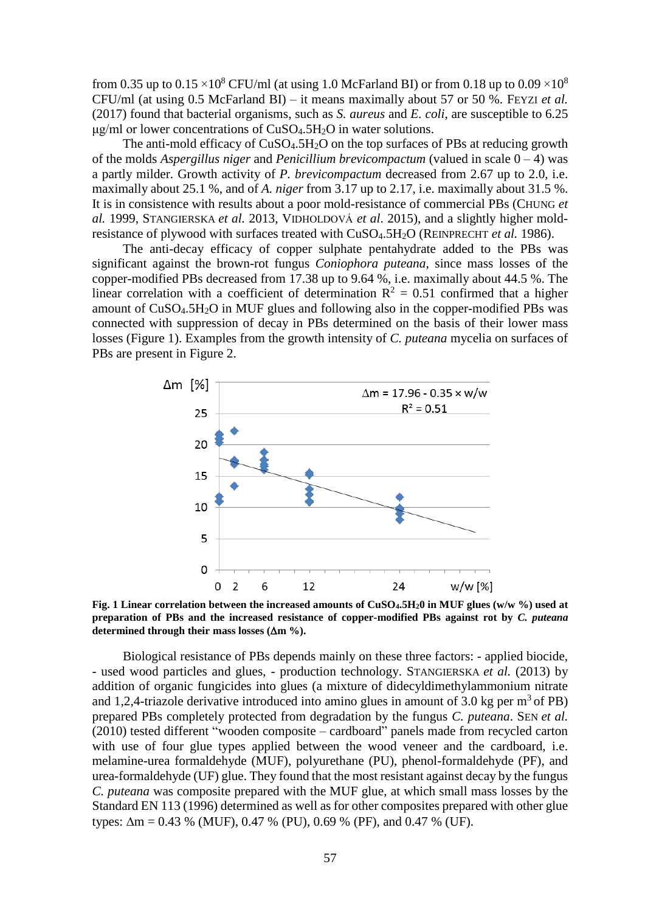from 0.35 up to 0.15  $\times$ 10<sup>8</sup> CFU/ml (at using 1.0 McFarland BI) or from 0.18 up to 0.09  $\times$ 10<sup>8</sup> CFU/ml (at using 0.5 McFarland BI) – it means maximally about 57 or 50 %. FEYZI *et al.* (2017) found that bacterial organisms, such as *S. aureus* and *E. coli*, are susceptible to 6.25  $\mu$ g/ml or lower concentrations of CuSO<sub>4</sub>.5H<sub>2</sub>O in water solutions.

The anti-mold efficacy of  $CuSO<sub>4</sub>$ .5H<sub>2</sub>O on the top surfaces of PBs at reducing growth of the molds *Aspergillus niger* and *Penicillium brevicompactum* (valued in scale 0 – 4) was a partly milder. Growth activity of *P. brevicompactum* decreased from 2.67 up to 2.0, i.e. maximally about 25.1 %, and of *A. niger* from 3.17 up to 2.17, i.e. maximally about 31.5 %. It is in consistence with results about a poor mold-resistance of commercial PBs (CHUNG *et al.* 1999, STANGIERSKA *et al.* 2013, VIDHOLDOVÁ *et al*. 2015), and a slightly higher moldresistance of plywood with surfaces treated with CuSO4.5H2O (REINPRECHT *et al.* 1986).

The anti-decay efficacy of copper sulphate pentahydrate added to the PBs was significant against the brown-rot fungus *Coniophora puteana*, since mass losses of the copper-modified PBs decreased from 17.38 up to 9.64 %, i.e. maximally about 44.5 %. The linear correlation with a coefficient of determination  $R^2 = 0.51$  confirmed that a higher amount of CuSO4.5H2O in MUF glues and following also in the copper-modified PBs was connected with suppression of decay in PBs determined on the basis of their lower mass losses (Figure 1). Examples from the growth intensity of *C. puteana* mycelia on surfaces of PBs are present in Figure 2.



**Fig. 1 Linear correlation between the increased amounts of CuSO4.5H20 in MUF glues (w/w %) used at preparation of PBs and the increased resistance of copper-modified PBs against rot by** *C. puteana* determined through their mass losses  $(\Delta m \%)$ .

Biological resistance of PBs depends mainly on these three factors: - applied biocide, - used wood particles and glues, - production technology. STANGIERSKA *et al.* (2013) by addition of organic fungicides into glues (a mixture of didecyldimethylammonium nitrate and 1,2,4-triazole derivative introduced into amino glues in amount of 3.0 kg per  $m^3$  of PB) prepared PBs completely protected from degradation by the fungus *C. puteana*. SEN *et al.* (2010) tested different "wooden composite – cardboard" panels made from recycled carton with use of four glue types applied between the wood veneer and the cardboard, i.e. melamine-urea formaldehyde (MUF), polyurethane (PU), phenol-formaldehyde (PF), and urea-formaldehyde (UF) glue. They found that the most resistant against decay by the fungus *C. puteana* was composite prepared with the MUF glue, at which small mass losses by the Standard EN 113 (1996) determined as well as for other composites prepared with other glue types:  $\Delta m = 0.43$  % (MUF), 0.47 % (PU), 0.69 % (PF), and 0.47 % (UF).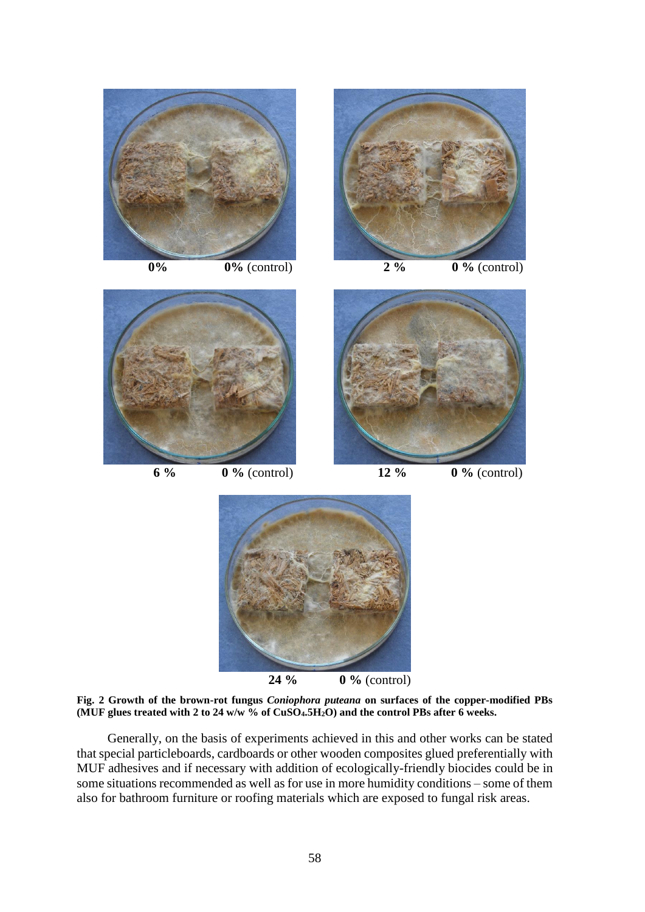

**Fig. 2 Growth of the brown-rot fungus** *Coniophora puteana* **on surfaces of the copper-modified PBs (MUF glues treated with 2 to 24 w/w % of CuSO4.5H2O) and the control PBs after 6 weeks.**

Generally, on the basis of experiments achieved in this and other works can be stated that special particleboards, cardboards or other wooden composites glued preferentially with MUF adhesives and if necessary with addition of ecologically-friendly biocides could be in some situations recommended as well as for use in more humidity conditions – some of them also for bathroom furniture or roofing materials which are exposed to fungal risk areas.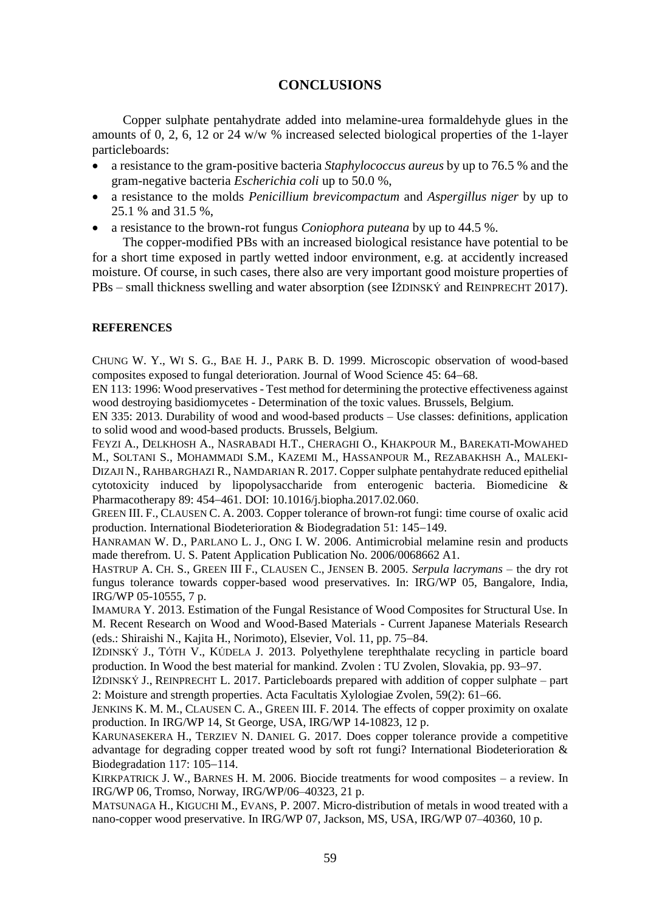## **CONCLUSIONS**

Copper sulphate pentahydrate added into melamine-urea formaldehyde glues in the amounts of 0, 2, 6, 12 or 24 w/w % increased selected biological properties of the 1-layer particleboards:

- a resistance to the gram-positive bacteria *Staphylococcus aureus* by up to 76.5 % and the gram-negative bacteria *Escherichia coli* up to 50.0 %,
- a resistance to the molds *Penicillium brevicompactum* and *Aspergillus niger* by up to 25.1 % and 31.5 %,
- a resistance to the brown-rot fungus *Coniophora puteana* by up to 44.5 %.

The copper-modified PBs with an increased biological resistance have potential to be for a short time exposed in partly wetted indoor environment, e.g. at accidently increased moisture. Of course, in such cases, there also are very important good moisture properties of PBs – small thickness swelling and water absorption (see IŽDINSKÝ and REINPRECHT 2017).

#### **REFERENCES**

CHUNG W. Y., WI S. G., BAE H. J., PARK B. D. 1999. Microscopic observation of wood-based composites exposed to fungal deterioration. Journal of Wood Science 45: 64–68.

EN 113: 1996: Wood preservatives - Test method for determining the protective effectiveness against wood destroying basidiomycetes - Determination of the toxic values. Brussels, Belgium.

EN 335: 2013. Durability of wood and wood-based products – Use classes: definitions, application to solid wood and wood-based products. Brussels, Belgium.

FEYZI A., DELKHOSH A., NASRABADI H.T., CHERAGHI O., KHAKPOUR M., BAREKATI-MOWAHED M., SOLTANI S., MOHAMMADI S.M., KAZEMI M., HASSANPOUR M., REZABAKHSH A., MALEKI-DIZAJI N., RAHBARGHAZI R., NAMDARIAN R. 2017. Copper sulphate pentahydrate reduced epithelial cytotoxicity induced by lipopolysaccharide from enterogenic bacteria. Biomedicine & Pharmacotherapy 89: 454-461. DOI: 10.1016/j.biopha.2017.02.060.

GREEN III. F., CLAUSEN C. A. 2003. Copper tolerance of brown-rot fungi: time course of oxalic acid production. International Biodeterioration & Biodegradation 51: 145–149.

HANRAMAN W. D., PARLANO L. J., ONG I. W. 2006. Antimicrobial melamine resin and products made therefrom. U. S. Patent Application Publication No. 2006/0068662 A1.

HASTRUP A. CH. S., GREEN III F., CLAUSEN C., JENSEN B. 2005. *Serpula lacrymans* – the dry rot fungus tolerance towards copper-based wood preservatives. In: IRG/WP 05, Bangalore, India, IRG/WP 05-10555, 7 p.

IMAMURA Y. 2013. Estimation of the Fungal Resistance of Wood Composites for Structural Use. In M. Recent Research on Wood and Wood-Based Materials - Current Japanese Materials Research (eds.: Shiraishi N., Kajita H., Norimoto), Elsevier, Vol. 11, pp. 75–84.

IŽDINSKÝ J., TÓTH V., KÚDELA J. 2013. Polyethylene terephthalate recycling in particle board production. In Wood the best material for mankind. Zvolen : TU Zvolen, Slovakia, pp. 93–97.

IŽDINSKÝ J., REINPRECHT L. 2017. Particleboards prepared with addition of copper sulphate – part 2: Moisture and strength properties. Acta Facultatis Xylologiae Zvolen,  $59(2)$ : 61–66.

JENKINS K. M. M., CLAUSEN C. A., GREEN III. F. 2014. The effects of copper proximity on oxalate production. In IRG/WP 14, St George, USA, IRG/WP 14-10823, 12 p.

KARUNASEKERA H., TERZIEV N. DANIEL G. 2017. Does copper tolerance provide a competitive advantage for degrading copper treated wood by soft rot fungi? International Biodeterioration  $\&$ Biodegradation 117: 105-114.

KIRKPATRICK J. W., BARNES H. M. 2006. Biocide treatments for wood composites – a review. In IRG/WP 06, Tromso, Norway, IRG/WP/06–40323, 21 p.

MATSUNAGA H., KIGUCHI M., EVANS, P. 2007. Micro-distribution of metals in wood treated with a nano-copper wood preservative. In IRG/WP 07, Jackson, MS, USA, IRG/WP 07–40360, 10 p.